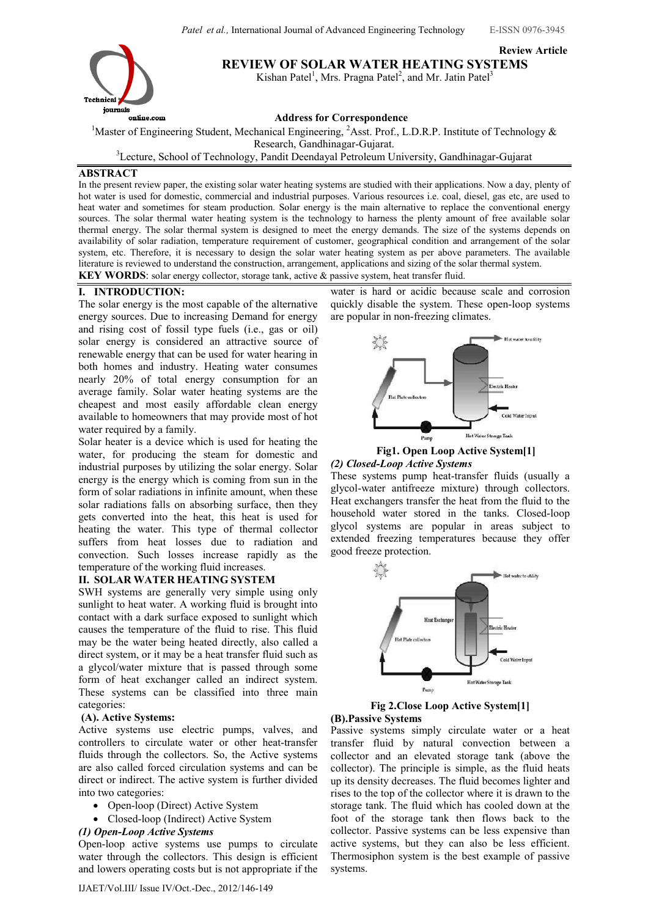Review Article



REVIEW OF SOLAR WATER HEATING SYSTEMS

Kishan Patel<sup>1</sup>, Mrs. Pragna Patel<sup>2</sup>, and Mr. Jatin Patel<sup>3</sup>

Address for Correspondence

<sup>1</sup>Master of Engineering Student, Mechanical Engineering, <sup>2</sup>Asst. Prof., L.D.R.P. Institute of Technology  $\&$ Research, Gandhinagar-Gujarat.

<sup>3</sup>Lecture, School of Technology, Pandit Deendayal Petroleum University, Gandhinagar-Gujarat

# ABSTRACT

In the present review paper, the existing solar water heating systems are studied with their applications. Now a day, plenty of hot water is used for domestic, commercial and industrial purposes. Various resources i.e. coal, diesel, gas etc, are used to heat water and sometimes for steam production. Solar energy is the main alternative to replace the conventional energy sources. The solar thermal water heating system is the technology to harness the plenty amount of free available solar thermal energy. The solar thermal system is designed to meet the energy demands. The size of the systems depends on availability of solar radiation, temperature requirement of customer, geographical condition and arrangement of the solar system, etc. Therefore, it is necessary to design the solar water heating system as per above parameters. The available literature is reviewed to understand the construction, arrangement, applications and sizing of the solar thermal system.

KEY WORDS: solar energy collector, storage tank, active & passive system, heat transfer fluid.

# I. INTRODUCTION:

The solar energy is the most capable of the alternative energy sources. Due to increasing Demand for energy and rising cost of fossil type fuels (i.e., gas or oil) solar energy is considered an attractive source of renewable energy that can be used for water hearing in both homes and industry. Heating water consumes nearly 20% of total energy consumption for an average family. Solar water heating systems are the cheapest and most easily affordable clean energy available to homeowners that may provide most of hot water required by a family.

Solar heater is a device which is used for heating the water, for producing the steam for domestic and industrial purposes by utilizing the solar energy. Solar energy is the energy which is coming from sun in the form of solar radiations in infinite amount, when these solar radiations falls on absorbing surface, then they gets converted into the heat, this heat is used for heating the water. This type of thermal collector suffers from heat losses due to radiation and convection. Such losses increase rapidly as the temperature of the working fluid increases.

## II. SOLAR WATER HEATING SYSTEM

SWH systems are generally very simple using only sunlight to heat water. A working fluid is brought into contact with a dark surface exposed to sunlight which causes the temperature of the fluid to rise. This fluid may be the water being heated directly, also called a direct system, or it may be a heat transfer fluid such as a glycol/water mixture that is passed through some form of heat exchanger called an indirect system. These systems can be classified into three main categories:

## (A). Active Systems:

Active systems use electric pumps, valves, and controllers to circulate water or other heat-transfer fluids through the collectors. So, the Active systems are also called forced circulation systems and can be direct or indirect. The active system is further divided into two categories:

- Open-loop (Direct) Active System
- Closed-loop (Indirect) Active System

# (1) Open-Loop Active Systems

Open-loop active systems use pumps to circulate water through the collectors. This design is efficient and lowers operating costs but is not appropriate if the water is hard or acidic because scale and corrosion quickly disable the system. These open-loop systems are popular in non-freezing climates.



## Fig1. Open Loop Active System[1] (2) Closed-Loop Active Systems

These systems pump heat-transfer fluids (usually a glycol-water antifreeze mixture) through collectors. Heat exchangers transfer the heat from the fluid to the household water stored in the tanks. Closed-loop glycol systems are popular in areas subject to extended freezing temperatures because they offer good freeze protection.



Fig 2.Close Loop Active System[1] (B).Passive Systems

Passive systems simply circulate water or a heat transfer fluid by natural convection between a collector and an elevated storage tank (above the collector). The principle is simple, as the fluid heats up its density decreases. The fluid becomes lighter and rises to the top of the collector where it is drawn to the storage tank. The fluid which has cooled down at the foot of the storage tank then flows back to the collector. Passive systems can be less expensive than active systems, but they can also be less efficient. Thermosiphon system is the best example of passive systems.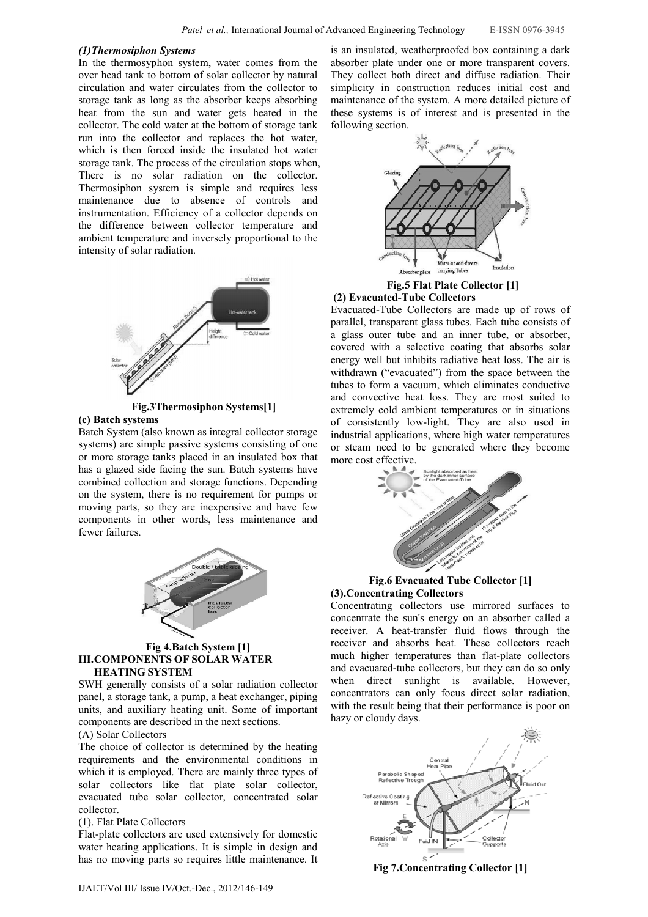### (1)Thermosiphon Systems

In the thermosyphon system, water comes from the over head tank to bottom of solar collector by natural circulation and water circulates from the collector to storage tank as long as the absorber keeps absorbing heat from the sun and water gets heated in the collector. The cold water at the bottom of storage tank run into the collector and replaces the hot water, which is then forced inside the insulated hot water storage tank. The process of the circulation stops when, There is no solar radiation on the collector. Thermosiphon system is simple and requires less maintenance due to absence of controls and instrumentation. Efficiency of a collector depends on the difference between collector temperature and ambient temperature and inversely proportional to the intensity of solar radiation.



#### Fig.3Thermosiphon Systems[1] (c) Batch systems

Batch System (also known as integral collector storage systems) are simple passive systems consisting of one or more storage tanks placed in an insulated box that has a glazed side facing the sun. Batch systems have combined collection and storage functions. Depending on the system, there is no requirement for pumps or moving parts, so they are inexpensive and have few



components in other words, less maintenance and

### Fig 4.Batch System [1] III.COMPONENTS OF SOLAR WATER HEATING SYSTEM

SWH generally consists of a solar radiation collector panel, a storage tank, a pump, a heat exchanger, piping units, and auxiliary heating unit. Some of important components are described in the next sections.

# (A) Solar Collectors

fewer failures.

The choice of collector is determined by the heating requirements and the environmental conditions in which it is employed. There are mainly three types of solar collectors like flat plate solar collector, evacuated tube solar collector, concentrated solar collector.

### (1). Flat Plate Collectors

Flat-plate collectors are used extensively for domestic water heating applications. It is simple in design and has no moving parts so requires little maintenance. It is an insulated, weatherproofed box containing a dark absorber plate under one or more transparent covers. They collect both direct and diffuse radiation. Their simplicity in construction reduces initial cost and maintenance of the system. A more detailed picture of these systems is of interest and is presented in the following section.



Fig.5 Flat Plate Collector [1] (2) Evacuated-Tube Collectors

Evacuated-Tube Collectors are made up of rows of parallel, transparent glass tubes. Each tube consists of a glass outer tube and an inner tube, or absorber, covered with a selective coating that absorbs solar energy well but inhibits radiative heat loss. The air is withdrawn ("evacuated") from the space between the tubes to form a vacuum, which eliminates conductive and convective heat loss. They are most suited to extremely cold ambient temperatures or in situations of consistently low-light. They are also used in industrial applications, where high water temperatures or steam need to be generated where they become more cost effective.



Fig.6 Evacuated Tube Collector [1] (3).Concentrating Collectors

Concentrating collectors use mirrored surfaces to concentrate the sun's energy on an absorber called a receiver. A heat-transfer fluid flows through the receiver and absorbs heat. These collectors reach much higher temperatures than flat-plate collectors and evacuated-tube collectors, but they can do so only when direct sunlight is available. However, concentrators can only focus direct solar radiation, with the result being that their performance is poor on hazy or cloudy days.



Fig 7.Concentrating Collector [1]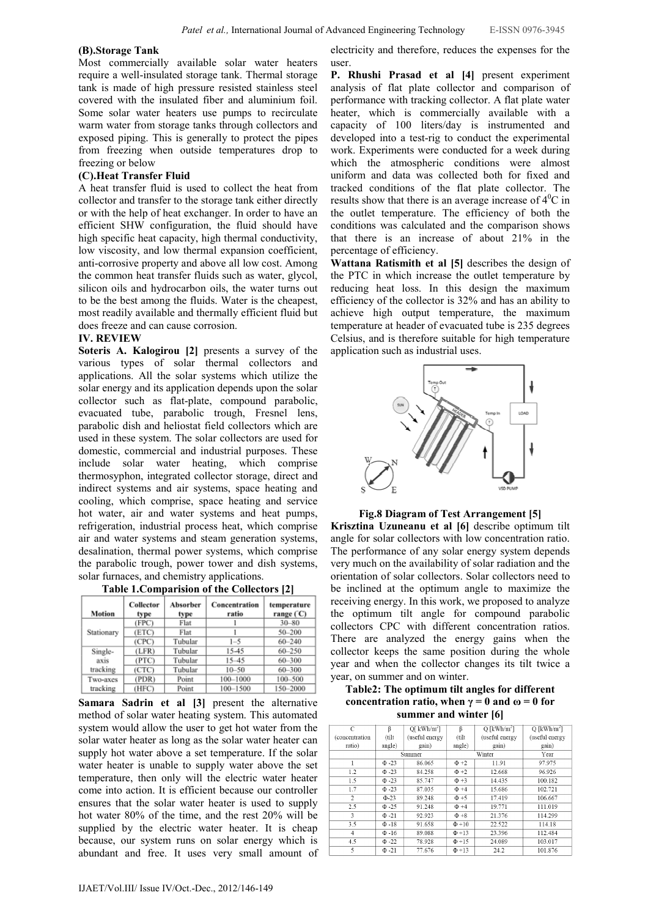### (B).Storage Tank

Most commercially available solar water heaters require a well-insulated storage tank. Thermal storage tank is made of high pressure resisted stainless steel covered with the insulated fiber and aluminium foil. Some solar water heaters use pumps to recirculate warm water from storage tanks through collectors and exposed piping. This is generally to protect the pipes from freezing when outside temperatures drop to freezing or below

### (C).Heat Transfer Fluid

A heat transfer fluid is used to collect the heat from collector and transfer to the storage tank either directly or with the help of heat exchanger. In order to have an efficient SHW configuration, the fluid should have high specific heat capacity, high thermal conductivity, low viscosity, and low thermal expansion coefficient, anti-corrosive property and above all low cost. Among the common heat transfer fluids such as water, glycol, silicon oils and hydrocarbon oils, the water turns out to be the best among the fluids. Water is the cheapest, most readily available and thermally efficient fluid but does freeze and can cause corrosion.

### IV. REVIEW

Soteris A. Kalogirou [2] presents a survey of the various types of solar thermal collectors and applications. All the solar systems which utilize the solar energy and its application depends upon the solar collector such as flat-plate, compound parabolic, evacuated tube, parabolic trough, Fresnel lens, parabolic dish and heliostat field collectors which are used in these system. The solar collectors are used for domestic, commercial and industrial purposes. These include solar water heating, which comprise thermosyphon, integrated collector storage, direct and indirect systems and air systems, space heating and cooling, which comprise, space heating and service hot water, air and water systems and heat pumps, refrigeration, industrial process heat, which comprise air and water systems and steam generation systems, desalination, thermal power systems, which comprise the parabolic trough, power tower and dish systems, solar furnaces, and chemistry applications.

| $1.001$ and $1.001$ and $1.001$ and $1.001$ and $1.001$ and $1.001$ and $1.001$ and $1.001$ and $1.001$ and $1.001$ and $1.001$ and $1.001$ and $1.001$ and $1.001$ and $1.001$ and $1.001$ and $1.001$ and $1.001$ and $1.00$ |                   |                  |                        |                            |  |  |  |
|--------------------------------------------------------------------------------------------------------------------------------------------------------------------------------------------------------------------------------|-------------------|------------------|------------------------|----------------------------|--|--|--|
| <b>Motion</b>                                                                                                                                                                                                                  | Collector<br>type | Absorber<br>type | Concentration<br>ratio | temperature<br>range $(C)$ |  |  |  |
|                                                                                                                                                                                                                                | (FPC)             | Flat             |                        | $30 - 80$                  |  |  |  |
| Stationary                                                                                                                                                                                                                     | (ETC)             | Flat             |                        | $50 - 200$                 |  |  |  |
|                                                                                                                                                                                                                                | (CPC)             | Tubular          | $1 - 5$                | $60 - 240$                 |  |  |  |
| Single-                                                                                                                                                                                                                        | (LFR)             | Tubular          | 15-45                  | 60-250                     |  |  |  |
| axis                                                                                                                                                                                                                           | (PTC)             | Tubular          | $15 - 45$              | 60-300                     |  |  |  |
| tracking                                                                                                                                                                                                                       | (CTC)             | Tubular          | $10 - 50$              | 60-300                     |  |  |  |
| Two-axes                                                                                                                                                                                                                       | (PDR)             | Point            | 100-1000               | 100-500                    |  |  |  |
| tracking                                                                                                                                                                                                                       | (HFC)             | Point            | 100-1500               | 150-2000                   |  |  |  |

Table 1.Comparision of the Collectors [2]

Samara Sadrin et al [3] present the alternative method of solar water heating system. This automated system would allow the user to get hot water from the solar water heater as long as the solar water heater can supply hot water above a set temperature. If the solar water heater is unable to supply water above the set temperature, then only will the electric water heater come into action. It is efficient because our controller ensures that the solar water heater is used to supply hot water 80% of the time, and the rest 20% will be supplied by the electric water heater. It is cheap because, our system runs on solar energy which is abundant and free. It uses very small amount of electricity and therefore, reduces the expenses for the user.

P. Rhushi Prasad et al [4] present experiment analysis of flat plate collector and comparison of performance with tracking collector. A flat plate water heater, which is commercially available with a capacity of 100 liters/day is instrumented and developed into a test-rig to conduct the experimental work. Experiments were conducted for a week during which the atmospheric conditions were almost uniform and data was collected both for fixed and tracked conditions of the flat plate collector. The results show that there is an average increase of  $4^0C$  in the outlet temperature. The efficiency of both the conditions was calculated and the comparison shows that there is an increase of about 21% in the percentage of efficiency.

Wattana Ratismith et al [5] describes the design of the PTC in which increase the outlet temperature by reducing heat loss. In this design the maximum efficiency of the collector is 32% and has an ability to achieve high output temperature, the maximum temperature at header of evacuated tube is 235 degrees Celsius, and is therefore suitable for high temperature application such as industrial uses.



#### Fig.8 Diagram of Test Arrangement [5]

Krisztina Uzuneanu et al [6] describe optimum tilt angle for solar collectors with low concentration ratio. The performance of any solar energy system depends very much on the availability of solar radiation and the orientation of solar collectors. Solar collectors need to be inclined at the optimum angle to maximize the receiving energy. In this work, we proposed to analyze the optimum tilt angle for compound parabolic collectors CPC with different concentration ratios. There are analyzed the energy gains when the collector keeps the same position during the whole year and when the collector changes its tilt twice a year, on summer and on winter.

Table2: The optimum tilt angles for different concentration ratio, when  $\gamma = 0$  and  $\omega = 0$  for summer and winter [6]

| C              | β           | Q[kWh/m <sup>2</sup> ] | β          | $Q$ [kWh/m <sup>2</sup> ] | $Q$ [kWh/m <sup>2</sup> ] |
|----------------|-------------|------------------------|------------|---------------------------|---------------------------|
| (concentration | (tilt       | (useful energy         | (tilt      | (useful energy            | (useful energy            |
| ratio)         | angle)      | gain)                  | angle)     | gain)                     | gain)                     |
|                | Summer      |                        | Winter     |                           | Year                      |
| 1              | $\Phi - 23$ | 86.065                 | $\Phi + 2$ | 11.91                     | 97.975                    |
| 1.2            | $\Phi$ -23  | 84.258                 | $\Phi + 2$ | 12.668                    | 96.926                    |
| 1.5            | $\Phi$ -23  | 85.747                 | $\Phi + 3$ | 14.435                    | 100.182                   |
| 1.7            | $\Phi - 23$ | 87.035                 | $\Phi + 4$ | 15.686                    | 102.721                   |
| $\overline{c}$ | $\Phi$ -23  | 89.248                 | $\Phi + 5$ | 17.419                    | 106.667                   |
| 2.5            | $\Phi - 25$ | 91.248                 | $\Phi + 4$ | 19.771                    | 111.019                   |
| 3              | $\Phi - 21$ | 92.923                 | $\Phi + 8$ | 21.376                    | 114.299                   |
| 3.5            | $\Phi$ -18  | 91.658                 | $\Phi$ +10 | 22.522                    | 114.18                    |
| 4              | $\Phi$ -16  | 89.088                 | $\Phi$ +13 | 23.396                    | 112.484                   |
| 4.5            | $\Phi$ -22  | 78.928                 | $\Phi$ +15 | 24.089                    | 103.017                   |
| 5              | $\Phi - 21$ | 77.676                 | $\Phi$ +13 | 24.2                      | 101.876                   |